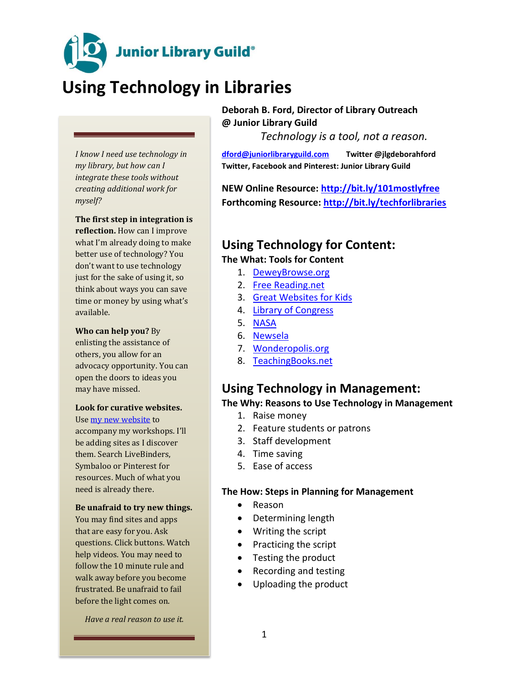**Junior Library Guild**®

# **Using Technology in Libraries**

*I know I need use technology in my library, but how can I integrate these tools without creating additional work for myself?* 

#### **The first step in integration is**

**reflection.** How can I improve what I'm already doing to make better use of technology? You don't want to use technology just for the sake of using it, so think about ways you can save time or money by using what's available.

#### **Who can help you?** By

enlisting the assistance of others, you allow for an advocacy opportunity. You can open the doors to ideas you may have missed.

#### **Look for curative websites.**

Use [my new website](http://www.livebinders.com/play/play?id=1995732&present=true) to accompany my workshops. I'll be adding sites as I discover them. Search LiveBinders, Symbaloo or Pinterest for resources. Much of what you need is already there.

#### **Be unafraid to try new things.**

You may find sites and apps that are easy for you. Ask questions. Click buttons. Watch help videos. You may need to follow the 10 minute rule and walk away before you become frustrated. Be unafraid to fail before the light comes on.

*Have a real reason to use it.* 

**Deborah B. Ford, Director of Library Outreach @ Junior Library Guild**

*Technology is a tool, not a reason.* 

**[dford@juniorlibraryguild.com](mailto:dford@juniorlibraryguild.com) Twitter @jlgdeborahford Twitter, Facebook and Pinterest: Junior Library Guild**

**NEW Online Resource:<http://bit.ly/101mostlyfree> Forthcoming Resource:<http://bit.ly/techforlibraries>**

# **Using Technology for Content:**

**The What: Tools for Content**

- 1. [DeweyBrowse.org](http://deweybrowse.org/)
- 2. [Free Reading.net](http://freereading.net/index.php?title=Main_Page)
- 3. [Great Websites for Kids](http://gws.ala.org/)
- 4. [Library of Congress](http://www.loc.gov/index.html)
- 5. [NASA](http://www.nasa.gov/audience/foreducators/index.html)
- 6. [Newsela](http://www.newsela.com/)
- 7. [Wonderopolis.org](http://wonderopolis.org/)
- 8. [TeachingBooks.net](http://www.teachingbooks.net/)

## **Using Technology in Management:**

#### **The Why: Reasons to Use Technology in Management**

- 1. Raise money
- 2. Feature students or patrons
- 3. Staff development
- 4. Time saving
- 5. Ease of access

#### **The How: Steps in Planning for Management**

- Reason
- Determining length
- Writing the script
- $\bullet$  Practicing the script
- Testing the product
- Recording and testing
- Uploading the product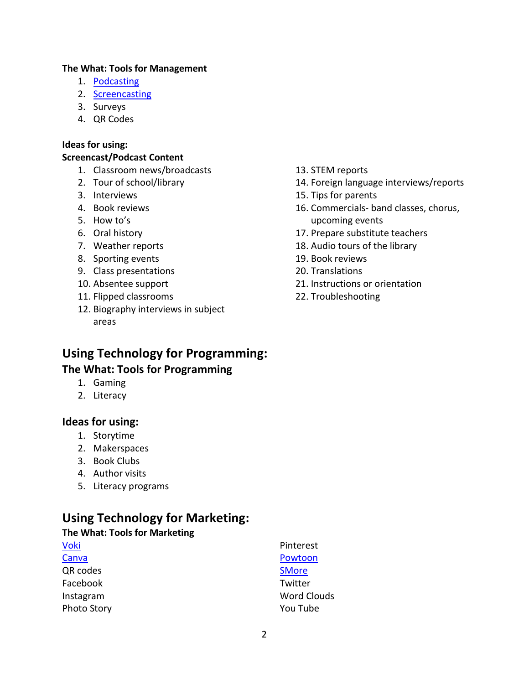### **The What: Tools for Management**

- 1. [Podcasting](file://///ohfile1/filestore/dford/My%20Documents/Professional%20Development/Web%20Resources/Podomatic)
- 2. [Screencasting](file://///ohfile1/filestore/dford/My%20Documents/Professional%20Development/Web%20Resources/Screencastomatic)
- 3. Surveys
- 4. QR Codes

### **Ideas for using:**

### **Screencast/Podcast Content**

- 1. Classroom news/broadcasts
- 2. Tour of school/library
- 3. Interviews
- 4. Book reviews
- 5. How to's
- 6. Oral history
- 7. Weather reports
- 8. Sporting events
- 9. Class presentations
- 10. Absentee support
- 11. Flipped classrooms
- 12. Biography interviews in subject areas
- 13. STEM reports
- 14. Foreign language interviews/reports
- 15. Tips for parents
- 16. Commercials- band classes, chorus, upcoming events
- 17. Prepare substitute teachers
- 18. Audio tours of the library
- 19. Book reviews
- 20. Translations
- 21. Instructions or orientation
- 22. Troubleshooting

# **Using Technology for Programming: The What: Tools for Programming**

- 1. Gaming
- 2. Literacy

### **Ideas for using:**

- 1. Storytime
- 2. Makerspaces
- 3. Book Clubs
- 4. Author visits
- 5. Literacy programs

# **Using Technology for Marketing:**

### **The What: Tools for Marketing**

| <b>Voki</b>        | Pinterest          |
|--------------------|--------------------|
| Canva              | Powtoon            |
| QR codes           | <b>SMore</b>       |
| Facebook           | Twitter            |
| Instagram          | <b>Word Clouds</b> |
| <b>Photo Story</b> | You Tube           |
|                    |                    |